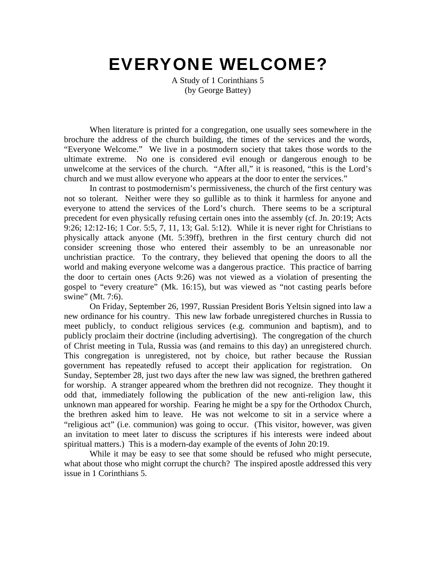# EVERYONE WELCOME?

A Study of 1 Corinthians 5 (by George Battey)

When literature is printed for a congregation, one usually sees somewhere in the brochure the address of the church building, the times of the services and the words, "Everyone Welcome." We live in a postmodern society that takes those words to the ultimate extreme. No one is considered evil enough or dangerous enough to be unwelcome at the services of the church. "After all," it is reasoned, "this is the Lord's church and we must allow everyone who appears at the door to enter the services."

In contrast to postmodernism's permissiveness, the church of the first century was not so tolerant. Neither were they so gullible as to think it harmless for anyone and everyone to attend the services of the Lord's church. There seems to be a scriptural precedent for even physically refusing certain ones into the assembly (cf. Jn. 20:19; Acts 9:26; 12:12-16; 1 Cor. 5:5, 7, 11, 13; Gal. 5:12). While it is never right for Christians to physically attack anyone (Mt. 5:39ff), brethren in the first century church did not consider screening those who entered their assembly to be an unreasonable nor unchristian practice. To the contrary, they believed that opening the doors to all the world and making everyone welcome was a dangerous practice. This practice of barring the door to certain ones (Acts 9:26) was not viewed as a violation of presenting the gospel to "every creature" (Mk. 16:15), but was viewed as "not casting pearls before swine" (Mt. 7:6).

On Friday, September 26, 1997, Russian President Boris Yeltsin signed into law a new ordinance for his country. This new law forbade unregistered churches in Russia to meet publicly, to conduct religious services (e.g. communion and baptism), and to publicly proclaim their doctrine (including advertising). The congregation of the church of Christ meeting in Tula, Russia was (and remains to this day) an unregistered church. This congregation is unregistered, not by choice, but rather because the Russian government has repeatedly refused to accept their application for registration. On Sunday, September 28, just two days after the new law was signed, the brethren gathered for worship. A stranger appeared whom the brethren did not recognize. They thought it odd that, immediately following the publication of the new anti-religion law, this unknown man appeared for worship. Fearing he might be a spy for the Orthodox Church, the brethren asked him to leave. He was not welcome to sit in a service where a "religious act" (i.e. communion) was going to occur. (This visitor, however, was given an invitation to meet later to discuss the scriptures if his interests were indeed about spiritual matters.) This is a modern-day example of the events of John 20:19.

While it may be easy to see that some should be refused who might persecute, what about those who might corrupt the church? The inspired apostle addressed this very issue in 1 Corinthians 5.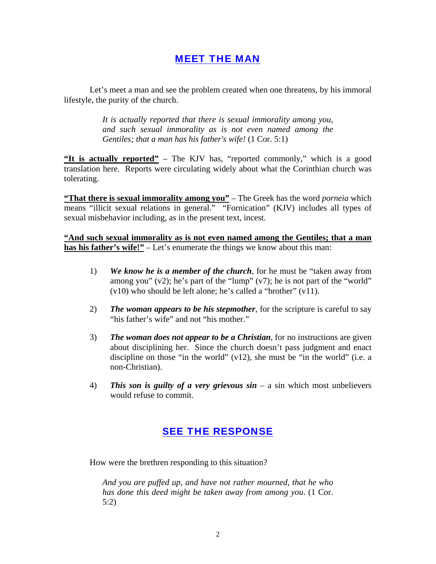## MEET THE MAN

Let's meet a man and see the problem created when one threatens, by his immoral lifestyle, the purity of the church.

> *It is actually reported that there is sexual immorality among you, and such sexual immorality as is not even named among the Gentiles; that a man has his father's wife!* (1 Cor. 5:1)

**"It is actually reported"** – The KJV has, "reported commonly," which is a good translation here. Reports were circulating widely about what the Corinthian church was tolerating.

**"That there is sexual immorality among you"** – The Greek has the word *porneia* which means "illicit sexual relations in general." "Fornication" (KJV) includes all types of sexual misbehavior including, as in the present text, incest.

**"And such sexual immorality as is not even named among the Gentiles; that a man has his father's wife!"** – Let's enumerate the things we know about this man:

- 1) *We know he is a member of the church*, for he must be "taken away from among you"  $(v2)$ ; he's part of the "lump"  $(v7)$ ; he is not part of the "world" (v10) who should be left alone; he's called a "brother" (v11).
- 2) *The woman appears to be his stepmother*, for the scripture is careful to say "his father's wife" and not "his mother."
- 3) *The woman does not appear to be a Christian*, for no instructions are given about disciplining her. Since the church doesn't pass judgment and enact discipline on those "in the world" (v12), she must be "in the world" (i.e. a non-Christian).
- 4) *This son is guilty of a very grievous sin* a sin which most unbelievers would refuse to commit.

## SEE THE RESPONSE

How were the brethren responding to this situation?

*And you are puffed up, and have not rather mourned, that he who has done this deed might be taken away from among you*. (1 Cor. 5:2)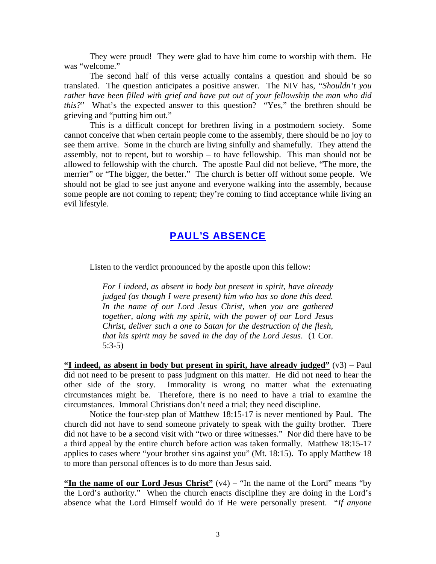They were proud! They were glad to have him come to worship with them. He was "welcome."

The second half of this verse actually contains a question and should be so translated. The question anticipates a positive answer. The NIV has, "*Shouldn't you rather have been filled with grief and have put out of your fellowship the man who did this?*" What's the expected answer to this question? "Yes," the brethren should be grieving and "putting him out."

This is a difficult concept for brethren living in a postmodern society. Some cannot conceive that when certain people come to the assembly, there should be no joy to see them arrive. Some in the church are living sinfully and shamefully. They attend the assembly, not to repent, but to worship – to have fellowship. This man should not be allowed to fellowship with the church. The apostle Paul did not believe, "The more, the merrier" or "The bigger, the better." The church is better off without some people. We should not be glad to see just anyone and everyone walking into the assembly, because some people are not coming to repent; they're coming to find acceptance while living an evil lifestyle.

## PAUL'S ABSENCE

Listen to the verdict pronounced by the apostle upon this fellow:

*For I indeed, as absent in body but present in spirit, have already judged (as though I were present) him who has so done this deed. In the name of our Lord Jesus Christ, when you are gathered together, along with my spirit, with the power of our Lord Jesus Christ, deliver such a one to Satan for the destruction of the flesh, that his spirit may be saved in the day of the Lord Jesus*. (1 Cor. 5:3-5)

**"I indeed, as absent in body but present in spirit, have already judged"** (v3) – Paul did not need to be present to pass judgment on this matter. He did not need to hear the other side of the story. Immorality is wrong no matter what the extenuating circumstances might be. Therefore, there is no need to have a trial to examine the circumstances. Immoral Christians don't need a trial; they need discipline.

Notice the four-step plan of Matthew 18:15-17 is never mentioned by Paul. The church did not have to send someone privately to speak with the guilty brother. There did not have to be a second visit with "two or three witnesses." Nor did there have to be a third appeal by the entire church before action was taken formally. Matthew 18:15-17 applies to cases where "your brother sins against you" (Mt. 18:15). To apply Matthew 18 to more than personal offences is to do more than Jesus said.

**"In the name of our Lord Jesus Christ"** (v4) – "In the name of the Lord" means "by the Lord's authority." When the church enacts discipline they are doing in the Lord's absence what the Lord Himself would do if He were personally present. "*If anyone*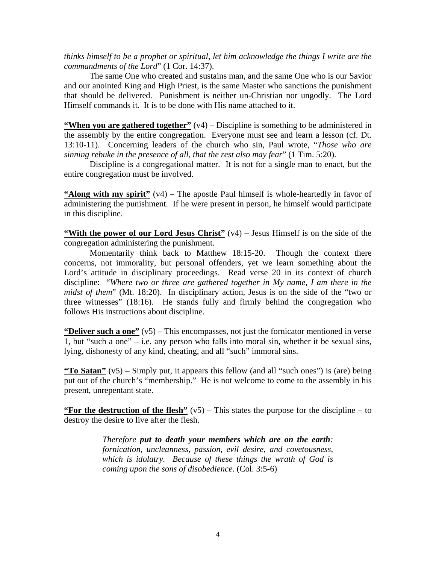*thinks himself to be a prophet or spiritual, let him acknowledge the things I write are the commandments of the Lord*" (1 Cor. 14:37).

The same One who created and sustains man, and the same One who is our Savior and our anointed King and High Priest, is the same Master who sanctions the punishment that should be delivered. Punishment is neither un-Christian nor ungodly. The Lord Himself commands it. It is to be done with His name attached to it.

**"When you are gathered together"** (v4) – Discipline is something to be administered in the assembly by the entire congregation. Everyone must see and learn a lesson (cf. Dt. 13:10-11). Concerning leaders of the church who sin, Paul wrote, "*Those who are sinning rebuke in the presence of all, that the rest also may fear*" (1 Tim. 5:20).

Discipline is a congregational matter. It is not for a single man to enact, but the entire congregation must be involved.

**"Along with my spirit"** (v4) – The apostle Paul himself is whole-heartedly in favor of administering the punishment. If he were present in person, he himself would participate in this discipline.

**"With the power of our Lord Jesus Christ"** (v4) – Jesus Himself is on the side of the congregation administering the punishment.

Momentarily think back to Matthew 18:15-20. Though the context there concerns, not immorality, but personal offenders, yet we learn something about the Lord's attitude in disciplinary proceedings. Read verse 20 in its context of church discipline: "*Where two or three are gathered together in My name, I am there in the midst of them*" (Mt. 18:20). In disciplinary action, Jesus is on the side of the "two or three witnesses" (18:16). He stands fully and firmly behind the congregation who follows His instructions about discipline.

**"Deliver such a one"** (v5) – This encompasses, not just the fornicator mentioned in verse 1, but "such a one" – i.e. any person who falls into moral sin, whether it be sexual sins, lying, dishonesty of any kind, cheating, and all "such" immoral sins.

**"To Satan"** (v5) – Simply put, it appears this fellow (and all "such ones") is (are) being put out of the church's "membership." He is not welcome to come to the assembly in his present, unrepentant state.

**"For the destruction of the flesh"** (v5) – This states the purpose for the discipline – to destroy the desire to live after the flesh.

> *Therefore put to death your members which are on the earth: fornication, uncleanness, passion, evil desire, and covetousness, which is idolatry. Because of these things the wrath of God is coming upon the sons of disobedience*. (Col. 3:5-6)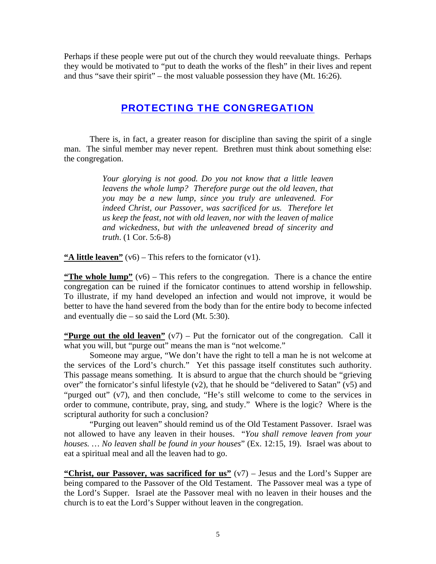Perhaps if these people were put out of the church they would reevaluate things. Perhaps they would be motivated to "put to death the works of the flesh" in their lives and repent and thus "save their spirit" – the most valuable possession they have (Mt. 16:26).

## PROTECTING THE CONGREGATION

There is, in fact, a greater reason for discipline than saving the spirit of a single man. The sinful member may never repent. Brethren must think about something else: the congregation.

> *Your glorying is not good. Do you not know that a little leaven leavens the whole lump? Therefore purge out the old leaven, that you may be a new lump, since you truly are unleavened. For indeed Christ, our Passover, was sacrificed for us. Therefore let us keep the feast, not with old leaven, nor with the leaven of malice and wickedness, but with the unleavened bread of sincerity and truth*. (1 Cor. 5:6-8)

**"A little leaven"** (v6) – This refers to the fornicator (v1).

**"The whole lump"** ( $v6$ ) – This refers to the congregation. There is a chance the entire congregation can be ruined if the fornicator continues to attend worship in fellowship. To illustrate, if my hand developed an infection and would not improve, it would be better to have the hand severed from the body than for the entire body to become infected and eventually die – so said the Lord (Mt. 5:30).

**"Purge out the old leaven"** (v7) – Put the fornicator out of the congregation. Call it what you will, but "purge out" means the man is "not welcome."

Someone may argue, "We don't have the right to tell a man he is not welcome at the services of the Lord's church." Yet this passage itself constitutes such authority. This passage means something. It is absurd to argue that the church should be "grieving over" the fornicator's sinful lifestyle  $(v2)$ , that he should be "delivered to Satan"  $(v5)$  and "purged out" (v7), and then conclude, "He's still welcome to come to the services in order to commune, contribute, pray, sing, and study." Where is the logic? Where is the scriptural authority for such a conclusion?

"Purging out leaven" should remind us of the Old Testament Passover. Israel was not allowed to have any leaven in their houses. "*You shall remove leaven from your houses. … No leaven shall be found in your houses*" (Ex. 12:15, 19). Israel was about to eat a spiritual meal and all the leaven had to go.

**"Christ, our Passover, was sacrificed for us"** (v7) – Jesus and the Lord's Supper are being compared to the Passover of the Old Testament. The Passover meal was a type of the Lord's Supper. Israel ate the Passover meal with no leaven in their houses and the church is to eat the Lord's Supper without leaven in the congregation.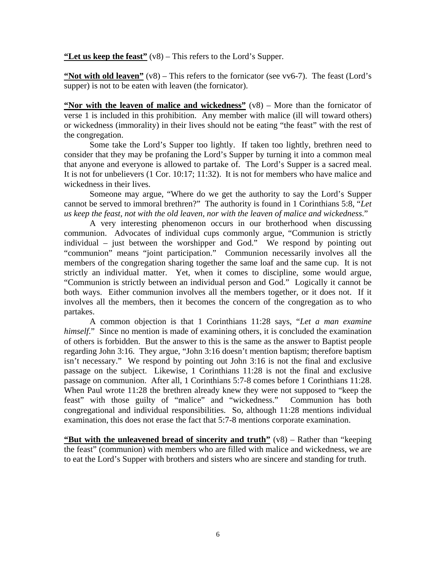**"Let us keep the feast"** (v8) – This refers to the Lord's Supper.

**"Not with old leaven"** (v8) – This refers to the fornicator (see vv6-7). The feast (Lord's supper) is not to be eaten with leaven (the fornicator).

**"Nor with the leaven of malice and wickedness"** (v8) – More than the fornicator of verse 1 is included in this prohibition. Any member with malice (ill will toward others) or wickedness (immorality) in their lives should not be eating "the feast" with the rest of the congregation.

Some take the Lord's Supper too lightly. If taken too lightly, brethren need to consider that they may be profaning the Lord's Supper by turning it into a common meal that anyone and everyone is allowed to partake of. The Lord's Supper is a sacred meal. It is not for unbelievers (1 Cor. 10:17; 11:32). It is not for members who have malice and wickedness in their lives.

Someone may argue, "Where do we get the authority to say the Lord's Supper cannot be served to immoral brethren?" The authority is found in 1 Corinthians 5:8, "*Let us keep the feast, not with the old leaven, nor with the leaven of malice and wickedness*."

A very interesting phenomenon occurs in our brotherhood when discussing communion. Advocates of individual cups commonly argue, "Communion is strictly individual – just between the worshipper and God." We respond by pointing out "communion" means "joint participation." Communion necessarily involves all the members of the congregation sharing together the same loaf and the same cup. It is not strictly an individual matter. Yet, when it comes to discipline, some would argue, "Communion is strictly between an individual person and God." Logically it cannot be both ways. Either communion involves all the members together, or it does not. If it involves all the members, then it becomes the concern of the congregation as to who partakes.

A common objection is that 1 Corinthians 11:28 says, "*Let a man examine himself.*" Since no mention is made of examining others, it is concluded the examination of others is forbidden. But the answer to this is the same as the answer to Baptist people regarding John 3:16. They argue, "John 3:16 doesn't mention baptism; therefore baptism isn't necessary." We respond by pointing out John 3:16 is not the final and exclusive passage on the subject. Likewise, 1 Corinthians 11:28 is not the final and exclusive passage on communion. After all, 1 Corinthians 5:7-8 comes before 1 Corinthians 11:28. When Paul wrote 11:28 the brethren already knew they were not supposed to "keep the feast" with those guilty of "malice" and "wickedness." Communion has both congregational and individual responsibilities. So, although 11:28 mentions individual examination, this does not erase the fact that 5:7-8 mentions corporate examination.

**"But with the unleavened bread of sincerity and truth"** (v8) – Rather than "keeping the feast" (communion) with members who are filled with malice and wickedness, we are to eat the Lord's Supper with brothers and sisters who are sincere and standing for truth.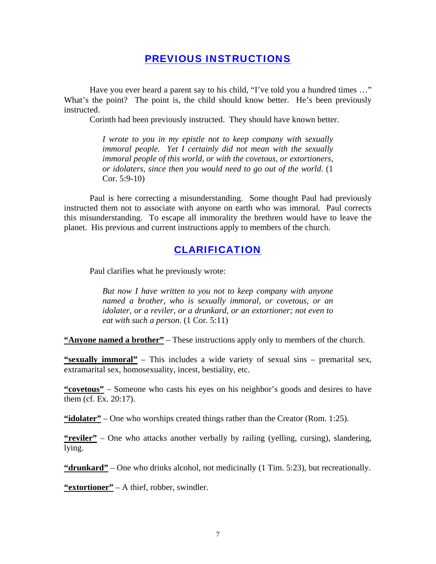#### PREVIOUS INSTRUCTIONS

Have you ever heard a parent say to his child, "I've told you a hundred times ..." What's the point? The point is, the child should know better. He's been previously instructed.

Corinth had been previously instructed. They should have known better.

*I wrote to you in my epistle not to keep company with sexually immoral people. Yet I certainly did not mean with the sexually immoral people of this world, or with the covetous, or extortioners, or idolaters, since then you would need to go out of the world*. (1 Cor. 5:9-10)

Paul is here correcting a misunderstanding. Some thought Paul had previously instructed them not to associate with anyone on earth who was immoral. Paul corrects this misunderstanding. To escape all immorality the brethren would have to leave the planet. His previous and current instructions apply to members of the church.

#### CLARIFICATION

Paul clarifies what he previously wrote:

*But now I have written to you not to keep company with anyone named a brother, who is sexually immoral, or covetous, or an idolater, or a reviler, or a drunkard, or an extortioner; not even to eat with such a person*. (1 Cor. 5:11)

**"Anyone named a brother"** – These instructions apply only to members of the church.

**"sexually immoral"** – This includes a wide variety of sexual sins – premarital sex, extramarital sex, homosexuality, incest, bestiality, etc.

**"covetous"** – Someone who casts his eyes on his neighbor's goods and desires to have them (cf. Ex. 20:17).

**"idolater"** – One who worships created things rather than the Creator (Rom. 1:25).

**"reviler"** – One who attacks another verbally by railing (yelling, cursing), slandering, lying.

**"drunkard"** – One who drinks alcohol, not medicinally (1 Tim. 5:23), but recreationally.

**"extortioner"** – A thief, robber, swindler.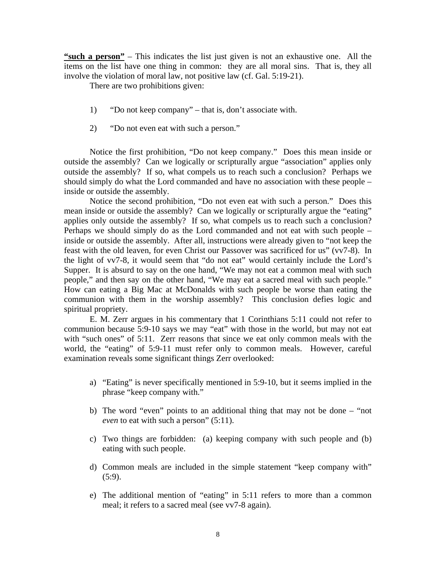**"such a person"** – This indicates the list just given is not an exhaustive one. All the items on the list have one thing in common: they are all moral sins. That is, they all involve the violation of moral law, not positive law (cf. Gal. 5:19-21).

There are two prohibitions given:

- 1) "Do not keep company" that is, don't associate with.
- 2) "Do not even eat with such a person."

Notice the first prohibition, "Do not keep company." Does this mean inside or outside the assembly? Can we logically or scripturally argue "association" applies only outside the assembly? If so, what compels us to reach such a conclusion? Perhaps we should simply do what the Lord commanded and have no association with these people – inside or outside the assembly.

Notice the second prohibition, "Do not even eat with such a person." Does this mean inside or outside the assembly? Can we logically or scripturally argue the "eating" applies only outside the assembly? If so, what compels us to reach such a conclusion? Perhaps we should simply do as the Lord commanded and not eat with such people – inside or outside the assembly. After all, instructions were already given to "not keep the feast with the old leaven, for even Christ our Passover was sacrificed for us" (vv7-8). In the light of vv7-8, it would seem that "do not eat" would certainly include the Lord's Supper. It is absurd to say on the one hand, "We may not eat a common meal with such people," and then say on the other hand, "We may eat a sacred meal with such people." How can eating a Big Mac at McDonalds with such people be worse than eating the communion with them in the worship assembly? This conclusion defies logic and spiritual propriety.

E. M. Zerr argues in his commentary that 1 Corinthians 5:11 could not refer to communion because 5:9-10 says we may "eat" with those in the world, but may not eat with "such ones" of 5:11. Zerr reasons that since we eat only common meals with the world, the "eating" of 5:9-11 must refer only to common meals. However, careful examination reveals some significant things Zerr overlooked:

- a) "Eating" is never specifically mentioned in 5:9-10, but it seems implied in the phrase "keep company with."
- b) The word "even" points to an additional thing that may not be done "not *even* to eat with such a person" (5:11).
- c) Two things are forbidden: (a) keeping company with such people and (b) eating with such people.
- d) Common meals are included in the simple statement "keep company with"  $(5:9)$ .
- e) The additional mention of "eating" in 5:11 refers to more than a common meal; it refers to a sacred meal (see vv7-8 again).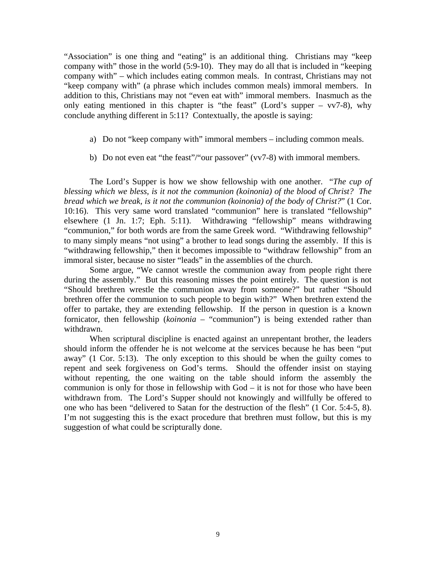"Association" is one thing and "eating" is an additional thing. Christians may "keep company with" those in the world (5:9-10). They may do all that is included in "keeping company with" – which includes eating common meals. In contrast, Christians may not "keep company with" (a phrase which includes common meals) immoral members. In addition to this, Christians may not "even eat with" immoral members. Inasmuch as the only eating mentioned in this chapter is "the feast" (Lord's supper –  $vv7-8$ ), why conclude anything different in 5:11? Contextually, the apostle is saying:

- a) Do not "keep company with" immoral members including common meals.
- b) Do not even eat "the feast"/"our passover" (vv7-8) with immoral members.

The Lord's Supper is how we show fellowship with one another. "*The cup of blessing which we bless, is it not the communion (koinonia) of the blood of Christ? The bread which we break, is it not the communion (koinonia) of the body of Christ?*" (1 Cor. 10:16). This very same word translated "communion" here is translated "fellowship" elsewhere (1 Jn. 1:7; Eph. 5:11). Withdrawing "fellowship" means withdrawing "communion," for both words are from the same Greek word. "Withdrawing fellowship" to many simply means "not using" a brother to lead songs during the assembly. If this is "withdrawing fellowship," then it becomes impossible to "withdraw fellowship" from an immoral sister, because no sister "leads" in the assemblies of the church.

Some argue, "We cannot wrestle the communion away from people right there during the assembly." But this reasoning misses the point entirely. The question is not "Should brethren wrestle the communion away from someone?" but rather "Should brethren offer the communion to such people to begin with?" When brethren extend the offer to partake, they are extending fellowship. If the person in question is a known fornicator, then fellowship (*koinonia* – "communion") is being extended rather than withdrawn.

When scriptural discipline is enacted against an unrepentant brother, the leaders should inform the offender he is not welcome at the services because he has been "put away" (1 Cor. 5:13). The only exception to this should be when the guilty comes to repent and seek forgiveness on God's terms. Should the offender insist on staying without repenting, the one waiting on the table should inform the assembly the communion is only for those in fellowship with God – it is not for those who have been withdrawn from. The Lord's Supper should not knowingly and willfully be offered to one who has been "delivered to Satan for the destruction of the flesh" (1 Cor. 5:4-5, 8). I'm not suggesting this is the exact procedure that brethren must follow, but this is my suggestion of what could be scripturally done.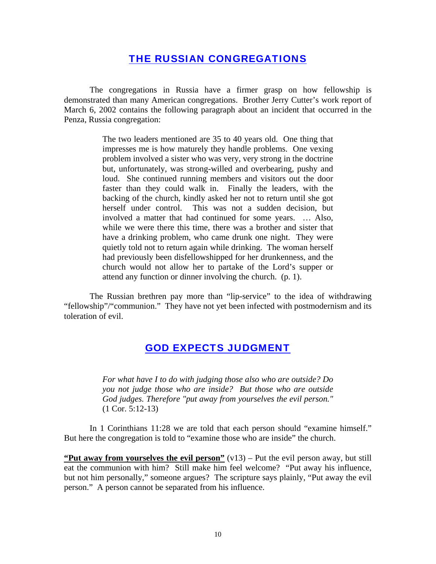#### THE RUSSIAN CONGREGATIONS

The congregations in Russia have a firmer grasp on how fellowship is demonstrated than many American congregations. Brother Jerry Cutter's work report of March 6, 2002 contains the following paragraph about an incident that occurred in the Penza, Russia congregation:

> The two leaders mentioned are 35 to 40 years old. One thing that impresses me is how maturely they handle problems. One vexing problem involved a sister who was very, very strong in the doctrine but, unfortunately, was strong-willed and overbearing, pushy and loud. She continued running members and visitors out the door faster than they could walk in. Finally the leaders, with the backing of the church, kindly asked her not to return until she got herself under control. This was not a sudden decision, but involved a matter that had continued for some years. … Also, while we were there this time, there was a brother and sister that have a drinking problem, who came drunk one night. They were quietly told not to return again while drinking. The woman herself had previously been disfellowshipped for her drunkenness, and the church would not allow her to partake of the Lord's supper or attend any function or dinner involving the church. (p. 1).

The Russian brethren pay more than "lip-service" to the idea of withdrawing "fellowship"/"communion." They have not yet been infected with postmodernism and its toleration of evil.

## GOD EXPECTS JUDGMENT

*For what have I to do with judging those also who are outside? Do you not judge those who are inside? But those who are outside God judges. Therefore "put away from yourselves the evil person."* (1 Cor. 5:12-13)

In 1 Corinthians 11:28 we are told that each person should "examine himself." But here the congregation is told to "examine those who are inside" the church.

**"Put away from yourselves the evil person"** (v13) – Put the evil person away, but still eat the communion with him? Still make him feel welcome? "Put away his influence, but not him personally," someone argues? The scripture says plainly, "Put away the evil person." A person cannot be separated from his influence.